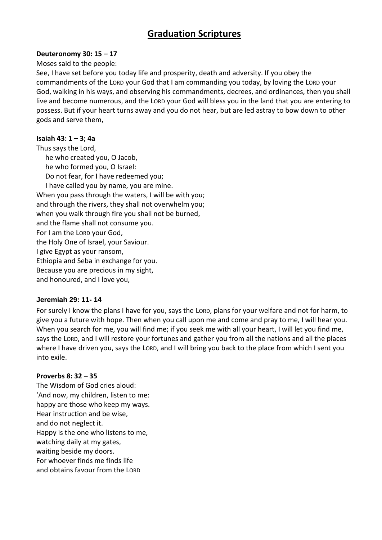# **Graduation Scriptures**

#### **Deuteronomy 30: 15 – 17**

#### Moses said to the people:

See, I have set before you today life and prosperity, death and adversity. If you obey the commandments of the LORD your God that I am commanding you today, by loving the LORD your God, walking in his ways, and observing his commandments, decrees, and ordinances, then you shall live and become numerous, and the LORD your God will bless you in the land that you are entering to possess. But if your heart turns away and you do not hear, but are led astray to bow down to other gods and serve them,

#### **Isaiah 43: 1 – 3; 4a**

Thus says the Lord, he who created you, O Jacob, he who formed you, O Israel: Do not fear, for I have redeemed you; I have called you by name, you are mine. When you pass through the waters, I will be with you; and through the rivers, they shall not overwhelm you; when you walk through fire you shall not be burned, and the flame shall not consume you. For I am the LORD your God, the Holy One of Israel, your Saviour. I give Egypt as your ransom, Ethiopia and Seba in exchange for you. Because you are precious in my sight, and honoured, and I love you,

## **Jeremiah 29: 11- 14**

For surely I know the plans I have for you, says the LORD, plans for your welfare and not for harm, to give you a future with hope. Then when you call upon me and come and pray to me, I will hear you. When you search for me, you will find me; if you seek me with all your heart, I will let you find me, says the LORD, and I will restore your fortunes and gather you from all the nations and all the places where I have driven you, says the LORD, and I will bring you back to the place from which I sent you into exile.

#### **Proverbs 8: 32 – 35**

The Wisdom of God cries aloud: 'And now, my children, listen to me: happy are those who keep my ways. Hear instruction and be wise, and do not neglect it. Happy is the one who listens to me, watching daily at my gates, waiting beside my doors. For whoever finds me finds life and obtains favour from the LORD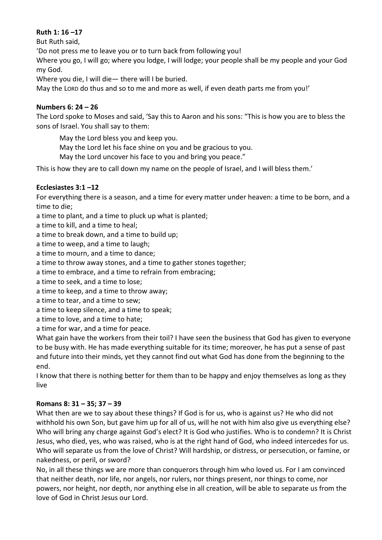## **Ruth 1: 16 –17**

But Ruth said,

'Do not press me to leave you or to turn back from following you!

Where you go, I will go; where you lodge, I will lodge; your people shall be my people and your God my God.

Where you die, I will die— there will I be buried.

May the LORD do thus and so to me and more as well, if even death parts me from you!'

# **Numbers 6: 24 – 26**

The Lord spoke to Moses and said, 'Say this to Aaron and his sons: "This is how you are to bless the sons of Israel. You shall say to them:

May the Lord bless you and keep you.

May the Lord let his face shine on you and be gracious to you.

May the Lord uncover his face to you and bring you peace."

This is how they are to call down my name on the people of Israel, and I will bless them.'

# **Ecclesiastes 3:1 –12**

For everything there is a season, and a time for every matter under heaven: a time to be born, and a time to die;

a time to plant, and a time to pluck up what is planted;

a time to kill, and a time to heal;

a time to break down, and a time to build up;

a time to weep, and a time to laugh;

a time to mourn, and a time to dance;

a time to throw away stones, and a time to gather stones together;

a time to embrace, and a time to refrain from embracing;

a time to seek, and a time to lose;

a time to keep, and a time to throw away;

a time to tear, and a time to sew;

a time to keep silence, and a time to speak;

a time to love, and a time to hate;

a time for war, and a time for peace.

What gain have the workers from their toil? I have seen the business that God has given to everyone to be busy with. He has made everything suitable for its time; moreover, he has put a sense of past and future into their minds, yet they cannot find out what God has done from the beginning to the end.

I know that there is nothing better for them than to be happy and enjoy themselves as long as they live

# **Romans 8: 31 – 35; 37 – 39**

What then are we to say about these things? If God is for us, who is against us? He who did not withhold his own Son, but gave him up for all of us, will he not with him also give us everything else? Who will bring any charge against God's elect? It is God who justifies. Who is to condemn? It is Christ Jesus, who died, yes, who was raised, who is at the right hand of God, who indeed intercedes for us. Who will separate us from the love of Christ? Will hardship, or distress, or persecution, or famine, or nakedness, or peril, or sword?

No, in all these things we are more than conquerors through him who loved us. For I am convinced that neither death, nor life, nor angels, nor rulers, nor things present, nor things to come, nor powers, nor height, nor depth, nor anything else in all creation, will be able to separate us from the love of God in Christ Jesus our Lord.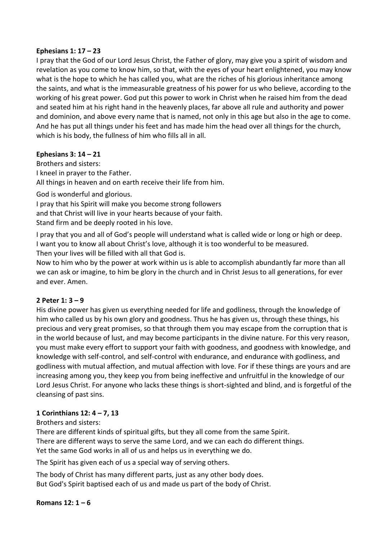#### **Ephesians 1: 17 – 23**

I pray that the God of our Lord Jesus Christ, the Father of glory, may give you a spirit of wisdom and revelation as you come to know him, so that, with the eyes of your heart enlightened, you may know what is the hope to which he has called you, what are the riches of his glorious inheritance among the saints, and what is the immeasurable greatness of his power for us who believe, according to the working of his great power. God put this power to work in Christ when he raised him from the dead and seated him at his right hand in the heavenly places, far above all rule and authority and power and dominion, and above every name that is named, not only in this age but also in the age to come. And he has put all things under his feet and has made him the head over all things for the church, which is his body, the fullness of him who fills all in all.

#### **Ephesians 3: 14 – 21**

Brothers and sisters: I kneel in prayer to the Father. All things in heaven and on earth receive their life from him.

God is wonderful and glorious.

I pray that his Spirit will make you become strong followers and that Christ will live in your hearts because of your faith. Stand firm and be deeply rooted in his love.

I pray that you and all of God's people will understand what is called wide or long or high or deep. I want you to know all about Christ's love, although it is too wonderful to be measured. Then your lives will be filled with all that God is.

Now to him who by the power at work within us is able to accomplish abundantly far more than all we can ask or imagine, to him be glory in the church and in Christ Jesus to all generations, for ever and ever. Amen.

#### **2 Peter 1: 3 – 9**

His divine power has given us everything needed for life and godliness, through the knowledge of him who called us by his own glory and goodness. Thus he has given us, through these things, his precious and very great promises, so that through them you may escape from the corruption that is in the world because of lust, and may become participants in the divine nature. For this very reason, you must make every effort to support your faith with goodness, and goodness with knowledge, and knowledge with self-control, and self-control with endurance, and endurance with godliness, and godliness with mutual affection, and mutual affection with love. For if these things are yours and are increasing among you, they keep you from being ineffective and unfruitful in the knowledge of our Lord Jesus Christ. For anyone who lacks these things is short-sighted and blind, and is forgetful of the cleansing of past sins.

## **1 Corinthians 12: 4 – 7, 13**

#### Brothers and sisters:

There are different kinds of spiritual gifts, but they all come from the same Spirit. There are different ways to serve the same Lord, and we can each do different things. Yet the same God works in all of us and helps us in everything we do.

The Spirit has given each of us a special way of serving others.

The body of Christ has many different parts, just as any other body does. But God's Spirit baptised each of us and made us part of the body of Christ.

#### **Romans 12: 1 – 6**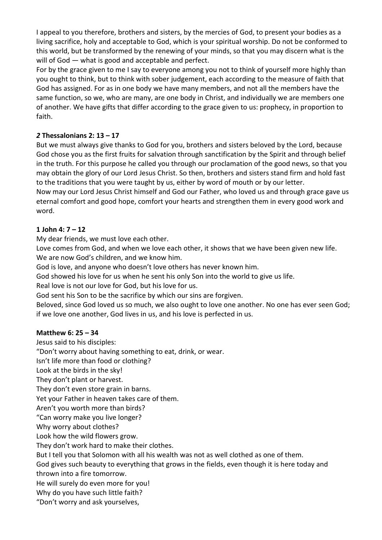I appeal to you therefore, brothers and sisters, by the mercies of God, to present your bodies as a living sacrifice, holy and acceptable to God, which is your spiritual worship. Do not be conformed to this world, but be transformed by the renewing of your minds, so that you may discern what is the will of God — what is good and acceptable and perfect.

For by the grace given to me I say to everyone among you not to think of yourself more highly than you ought to think, but to think with sober judgement, each according to the measure of faith that God has assigned. For as in one body we have many members, and not all the members have the same function, so we, who are many, are one body in Christ, and individually we are members one of another. We have gifts that differ according to the grace given to us: prophecy, in proportion to faith.

## *2* **Thessalonians 2: 13 – 17**

But we must always give thanks to God for you, brothers and sisters beloved by the Lord, because God chose you as the first fruits for salvation through sanctification by the Spirit and through belief in the truth. For this purpose he called you through our proclamation of the good news, so that you may obtain the glory of our Lord Jesus Christ. So then, brothers and sisters stand firm and hold fast to the traditions that you were taught by us, either by word of mouth or by our letter.

Now may our Lord Jesus Christ himself and God our Father, who loved us and through grace gave us eternal comfort and good hope, comfort your hearts and strengthen them in every good work and word.

## **1 John 4: 7 – 12**

My dear friends, we must love each other.

Love comes from God, and when we love each other, it shows that we have been given new life. We are now God's children, and we know him.

God is love, and anyone who doesn't love others has never known him.

God showed his love for us when he sent his only Son into the world to give us life.

Real love is not our love for God, but his love for us.

God sent his Son to be the sacrifice by which our sins are forgiven.

Beloved, since God loved us so much, we also ought to love one another. No one has ever seen God; if we love one another, God lives in us, and his love is perfected in us.

## **Matthew 6: 25 – 34**

Jesus said to his disciples: "Don't worry about having something to eat, drink, or wear. Isn't life more than food or clothing? Look at the birds in the sky! They don't plant or harvest. They don't even store grain in barns. Yet your Father in heaven takes care of them. Aren't you worth more than birds? "Can worry make you live longer? Why worry about clothes? Look how the wild flowers grow. They don't work hard to make their clothes. But I tell you that Solomon with all his wealth was not as well clothed as one of them. God gives such beauty to everything that grows in the fields, even though it is here today and thrown into a fire tomorrow. He will surely do even more for you! Why do you have such little faith? "Don't worry and ask yourselves,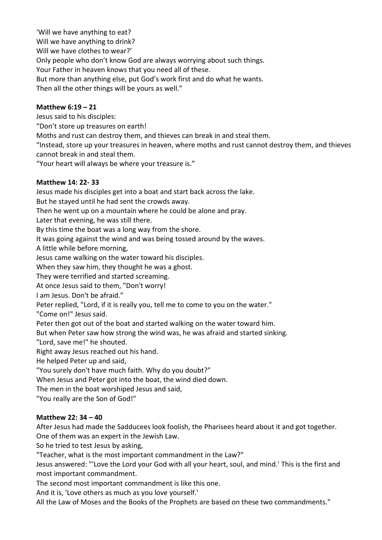'Will we have anything to eat? Will we have anything to drink? Will we have clothes to wear?' Only people who don't know God are always worrying about such things. Your Father in heaven knows that you need all of these. But more than anything else, put God's work first and do what he wants. Then all the other things will be yours as well."

# **Matthew 6:19 – 21**

Jesus said to his disciples:

"Don't store up treasures on earth!

Moths and rust can destroy them, and thieves can break in and steal them.

"Instead, store up your treasures in heaven, where moths and rust cannot destroy them, and thieves cannot break in and steal them.

"Your heart will always be where your treasure is."

#### **Matthew 14: 22- 33**

Jesus made his disciples get into a boat and start back across the lake. But he stayed until he had sent the crowds away. Then he went up on a mountain where he could be alone and pray. Later that evening, he was still there.

By this time the boat was a long way from the shore.

It was going against the wind and was being tossed around by the waves.

A little while before morning,

Jesus came walking on the water toward his disciples.

When they saw him, they thought he was a ghost.

They were terrified and started screaming.

At once Jesus said to them, "Don't worry!

I am Jesus. Don't be afraid."

Peter replied, "Lord, if it is really you, tell me to come to you on the water."

"Come on!" Jesus said.

Peter then got out of the boat and started walking on the water toward him.

But when Peter saw how strong the wind was, he was afraid and started sinking.

"Lord, save me!" he shouted.

Right away Jesus reached out his hand.

He helped Peter up and said,

"You surely don't have much faith. Why do you doubt?"

When Jesus and Peter got into the boat, the wind died down.

The men in the boat worshiped Jesus and said,

"You really are the Son of God!"

## **Matthew 22: 34 – 40**

After Jesus had made the Sadducees look foolish, the Pharisees heard about it and got together. One of them was an expert in the Jewish Law.

So he tried to test Jesus by asking,

"Teacher, what is the most important commandment in the Law?"

Jesus answered: "'Love the Lord your God with all your heart, soul, and mind.' This is the first and most important commandment.

The second most important commandment is like this one.

And it is, 'Love others as much as you love yourself.'

All the Law of Moses and the Books of the Prophets are based on these two commandments."